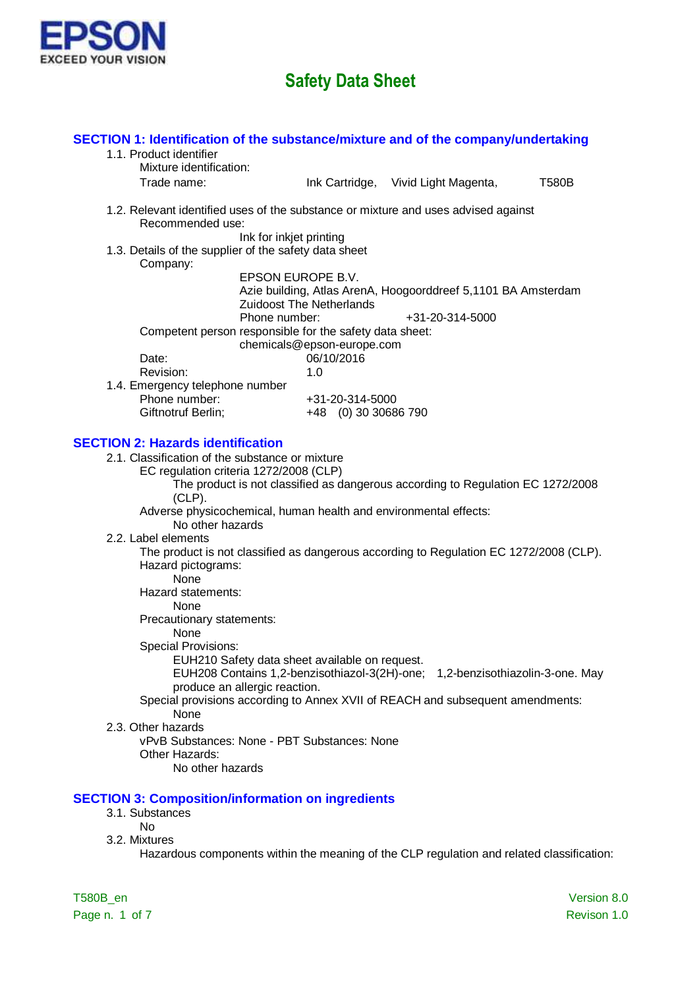

| SECTION 1: Identification of the substance/mixture and of the company/undertaking<br>1.1. Product identifier<br>Mixture identification:                         |                                          |                                                                                  |              |
|-----------------------------------------------------------------------------------------------------------------------------------------------------------------|------------------------------------------|----------------------------------------------------------------------------------|--------------|
| Trade name:                                                                                                                                                     |                                          | Ink Cartridge, Vivid Light Magenta,                                              | <b>T580B</b> |
| 1.2. Relevant identified uses of the substance or mixture and uses advised against<br>Recommended use:<br>1.3. Details of the supplier of the safety data sheet | Ink for inkjet printing                  |                                                                                  |              |
| Company:                                                                                                                                                        | EPSON EUROPE B.V.                        |                                                                                  |              |
| Phone number:                                                                                                                                                   | <b>Zuidoost The Netherlands</b>          | Azie building, Atlas ArenA, Hoogoorddreef 5,1101 BA Amsterdam<br>+31-20-314-5000 |              |
| Competent person responsible for the safety data sheet:<br>Date:                                                                                                | chemicals@epson-europe.com<br>06/10/2016 |                                                                                  |              |
| Revision:<br>1.4. Emergency telephone number                                                                                                                    | 1.0                                      |                                                                                  |              |
| Phone number:<br>Giftnotruf Berlin;                                                                                                                             | +31-20-314-5000<br>+48 (0) 30 30686 790  |                                                                                  |              |
| <b>SECTION 2: Hazards identification</b><br>2.1. Classification of the substance or mixture<br>EC regulation criteria 1272/2008 (CLP)                           |                                          |                                                                                  |              |
| $(CLP)$ .<br>Adverse physicochemical, human health and environmental effects:                                                                                   |                                          | The product is not classified as dangerous according to Regulation EC 1272/2008  |              |
| No other hazards<br>2.2. Label elements<br>The product is not classified as dangerous according to Regulation EC 1272/2008 (CLP).                               |                                          |                                                                                  |              |
| Hazard pictograms:<br>None                                                                                                                                      |                                          |                                                                                  |              |
| Hazard statements:<br>None<br>Precautionary statements:                                                                                                         |                                          |                                                                                  |              |
| None<br><b>Special Provisions:</b><br>EUH210 Safety data sheet available on request.                                                                            |                                          |                                                                                  |              |
| produce an allergic reaction.<br>Special provisions according to Annex XVII of REACH and subsequent amendments:                                                 |                                          | EUH208 Contains 1,2-benzisothiazol-3(2H)-one; 1,2-benzisothiazolin-3-one. May    |              |
| None<br>2.3. Other hazards                                                                                                                                      |                                          |                                                                                  |              |
| vPvB Substances: None - PBT Substances: None<br>Other Hazards:<br>No other hazards                                                                              |                                          |                                                                                  |              |
| <b>SECTION 3: Composition/information on ingredients</b><br>3.1. Substances<br><b>No</b>                                                                        |                                          |                                                                                  |              |
| 3.2. Mixtures<br>Hazardous components within the meaning of the CLP regulation and related classification:                                                      |                                          |                                                                                  |              |
| T580B_en                                                                                                                                                        |                                          |                                                                                  | Version 8.0  |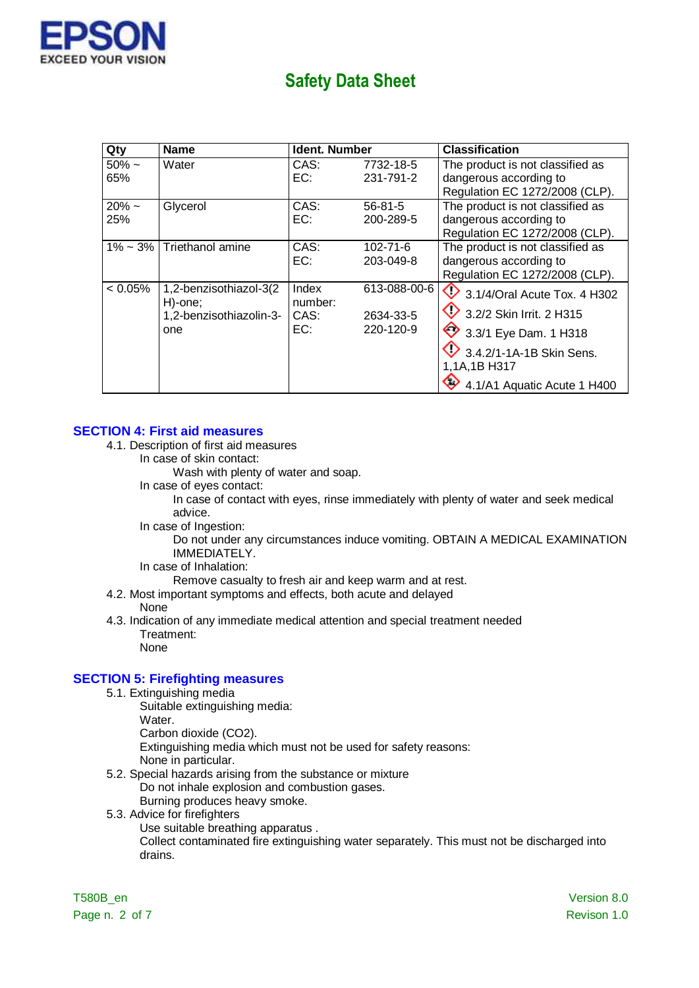

| Qty            | Name                               | <b>Ident. Number</b> |              | <b>Classification</b>                  |
|----------------|------------------------------------|----------------------|--------------|----------------------------------------|
| $50\%$ ~       | Water                              | CAS:                 | 7732-18-5    | The product is not classified as       |
| 65%            |                                    | EC:                  | 231-791-2    | dangerous according to                 |
|                |                                    |                      |              | Regulation EC 1272/2008 (CLP).         |
| $20\%$ ~       | Glycerol                           | CAS:                 | 56-81-5      | The product is not classified as       |
| 25%            |                                    | EC:                  | 200-289-5    | dangerous according to                 |
|                |                                    |                      |              | Regulation EC 1272/2008 (CLP).         |
| $1\% \sim 3\%$ | Triethanol amine                   | CAS:                 | 102-71-6     | The product is not classified as       |
|                |                                    | EC:                  | 203-049-8    | dangerous according to                 |
|                |                                    |                      |              | Regulation EC 1272/2008 (CLP).         |
| $< 0.05\%$     | 1,2-benzisothiazol-3(2             | Index<br>number:     | 613-088-00-6 | $\bullet$ 3.1/4/Oral Acute Tox. 4 H302 |
|                | H)-one;<br>1,2-benzisothiazolin-3- | CAS:                 | 2634-33-5    | $\bullet$ 3.2/2 Skin Irrit. 2 H315     |
|                | one                                | EC:                  | 220-120-9    | 3.3/1 Eye Dam. 1 H318                  |
|                |                                    |                      |              | $\bullet$ 3.4.2/1-1A-1B Skin Sens.     |
|                |                                    |                      |              | 1,1A,1B H317                           |
|                |                                    |                      |              | 4.1/A1 Aquatic Acute 1 H400            |

### **SECTION 4: First aid measures**

- 4.1. Description of first aid measures
	- In case of skin contact:

Wash with plenty of water and soap.

In case of eyes contact:

In case of contact with eyes, rinse immediately with plenty of water and seek medical advice.

In case of Ingestion:

Do not under any circumstances induce vomiting. OBTAIN A MEDICAL EXAMINATION IMMEDIATELY.

In case of Inhalation:

Remove casualty to fresh air and keep warm and at rest.

- 4.2. Most important symptoms and effects, both acute and delayed None
- 4.3. Indication of any immediate medical attention and special treatment needed Treatment: None

### **SECTION 5: Firefighting measures**

- 5.1. Extinguishing media
	- Suitable extinguishing media:
	- Water.
	- Carbon dioxide (CO2).

Extinguishing media which must not be used for safety reasons: None in particular.

- 5.2. Special hazards arising from the substance or mixture Do not inhale explosion and combustion gases. Burning produces heavy smoke.
- 5.3. Advice for firefighters
	- Use suitable breathing apparatus .

Collect contaminated fire extinguishing water separately. This must not be discharged into drains.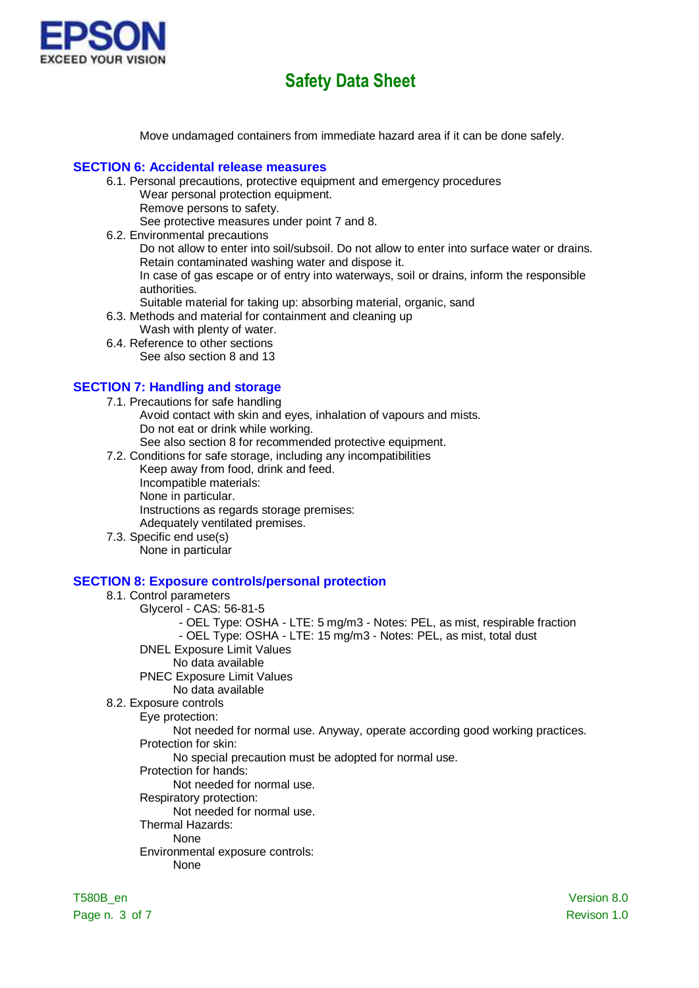

Move undamaged containers from immediate hazard area if it can be done safely.

### **SECTION 6: Accidental release measures**

- 6.1. Personal precautions, protective equipment and emergency procedures Wear personal protection equipment.
	- Remove persons to safety.

See protective measures under point 7 and 8.

- 6.2. Environmental precautions Do not allow to enter into soil/subsoil. Do not allow to enter into surface water or drains. Retain contaminated washing water and dispose it. In case of gas escape or of entry into waterways, soil or drains, inform the responsible authorities.
	- Suitable material for taking up: absorbing material, organic, sand
- 6.3. Methods and material for containment and cleaning up
	- Wash with plenty of water.
- 6.4. Reference to other sections See also section 8 and 13

# **SECTION 7: Handling and storage**

- 7.1. Precautions for safe handling Avoid contact with skin and eyes, inhalation of vapours and mists. Do not eat or drink while working. See also section 8 for recommended protective equipment.
- 7.2. Conditions for safe storage, including any incompatibilities
	- Keep away from food, drink and feed. Incompatible materials: None in particular. Instructions as regards storage premises: Adequately ventilated premises.
- 7.3. Specific end use(s) None in particular

### **SECTION 8: Exposure controls/personal protection**

### 8.1. Control parameters

- Glycerol CAS: 56-81-5
	- OEL Type: OSHA LTE: 5 mg/m3 Notes: PEL, as mist, respirable fraction
	- OEL Type: OSHA LTE: 15 mg/m3 Notes: PEL, as mist, total dust
- DNEL Exposure Limit Values
	- No data available
- PNEC Exposure Limit Values
	- No data available
- 8.2. Exposure controls
	- Eye protection:

Not needed for normal use. Anyway, operate according good working practices. Protection for skin:

No special precaution must be adopted for normal use.

Protection for hands:

#### Not needed for normal use.

- Respiratory protection:
	- Not needed for normal use.
- Thermal Hazards:

# None

- Environmental exposure controls:
	- None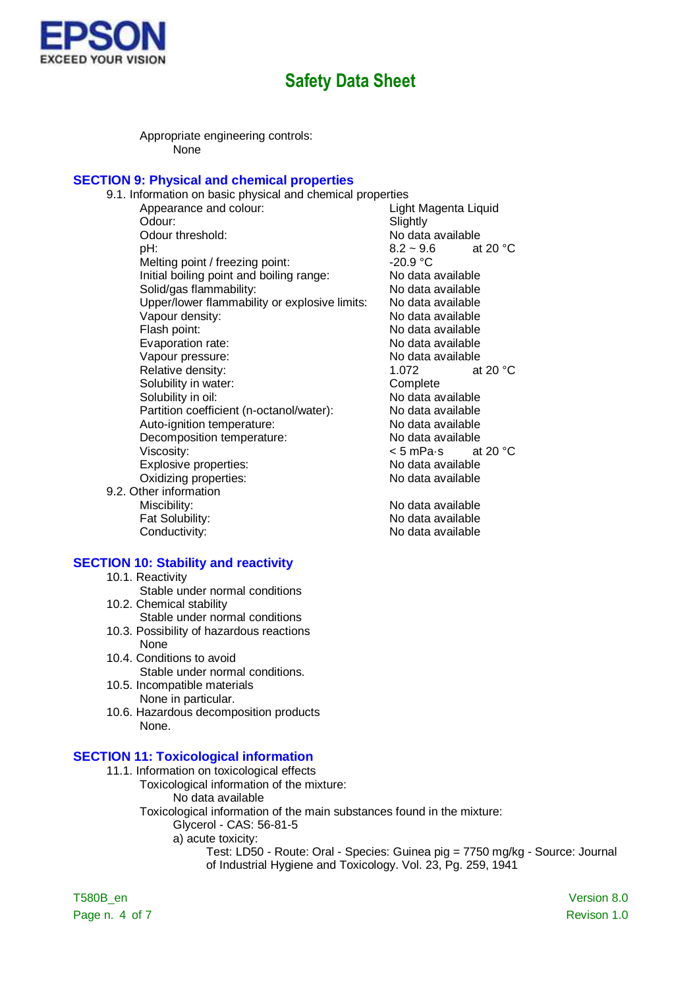

Appropriate engineering controls: .<br>None

# **SECTION 9: Physical and chemical properties**

| 9.1. Information on basic physical and chemical properties |                      |                   |
|------------------------------------------------------------|----------------------|-------------------|
| Appearance and colour:                                     | Light Magenta Liquid |                   |
| Odour:                                                     | Slightly             |                   |
| Odour threshold:                                           | No data available    |                   |
| pH:                                                        | $8.2 - 9.6$          | at 20 $\degree$ C |
| Melting point / freezing point:                            | $-20.9 °C$           |                   |
| Initial boiling point and boiling range:                   | No data available    |                   |
| Solid/gas flammability:                                    | No data available    |                   |
| Upper/lower flammability or explosive limits:              | No data available    |                   |
| Vapour density:                                            | No data available    |                   |
| Flash point:                                               | No data available    |                   |
| Evaporation rate:                                          | No data available    |                   |
| Vapour pressure:                                           | No data available    |                   |
| Relative density:                                          | 1.072                | at 20 $\degree$ C |
| Solubility in water:                                       | Complete             |                   |
| Solubility in oil:                                         | No data available    |                   |
| Partition coefficient (n-octanol/water):                   | No data available    |                   |
| Auto-ignition temperature:                                 | No data available    |                   |
| Decomposition temperature:                                 | No data available    |                   |
| Viscosity:                                                 | < 5 mPa∙s            | at 20 $\degree$ C |
| Explosive properties:                                      | No data available    |                   |
| Oxidizing properties:                                      | No data available    |                   |
| 9.2. Other information                                     |                      |                   |

Miscibility: No data available Fat Solubility:<br>
Conductivity:<br>
Conductivity:<br>
No data available

#### **SECTION 10: Stability and reactivity**

- 10.1. Reactivity
- Stable under normal conditions
- 10.2. Chemical stability Stable under normal conditions
- 10.3. Possibility of hazardous reactions None
- 10.4. Conditions to avoid Stable under normal conditions.
- 10.5. Incompatible materials None in particular.
- 10.6. Hazardous decomposition products None.

### **SECTION 11: Toxicological information**

- 11.1. Information on toxicological effects
	- Toxicological information of the mixture: No data available
	- Toxicological information of the main substances found in the mixture: Glycerol - CAS: 56-81-5
		- a) acute toxicity:
			- Test: LD50 Route: Oral Species: Guinea pig = 7750 mg/kg Source: Journal of Industrial Hygiene and Toxicology. Vol. 23, Pg. 259, 1941

T580B\_en Version 8.0 Page n. 4 of 7 Revison 1.0

vailable wailable wailable

No data available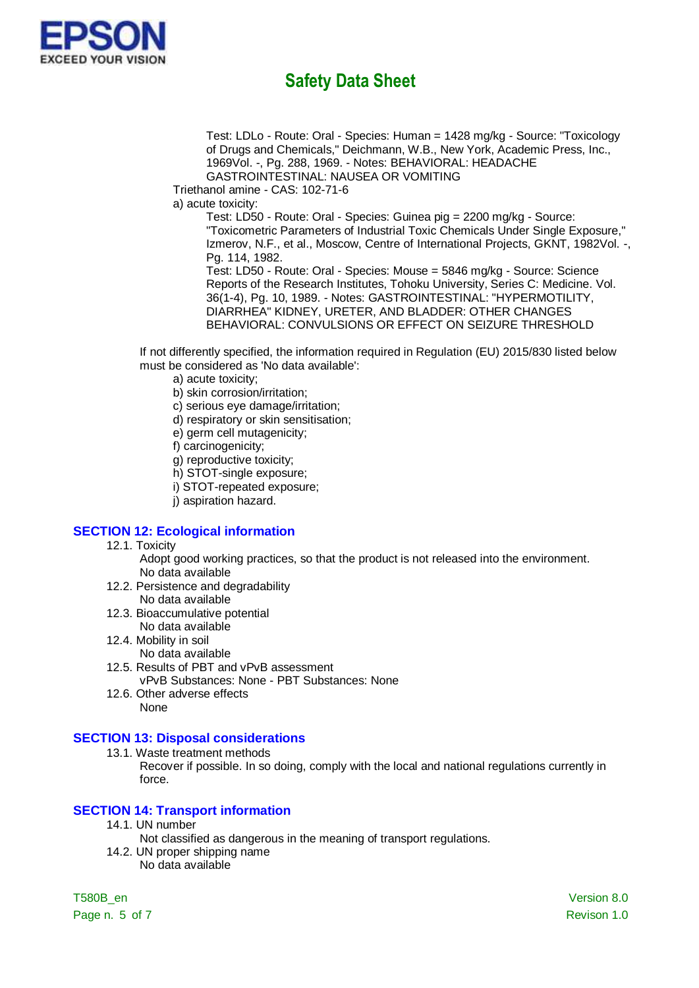

Test: LDLo - Route: Oral - Species: Human = 1428 mg/kg - Source: "Toxicology of Drugs and Chemicals," Deichmann, W.B., New York, Academic Press, Inc., 1969Vol. -, Pg. 288, 1969. - Notes: BEHAVIORAL: HEADACHE GASTROINTESTINAL: NAUSEA OR VOMITING

Triethanol amine - CAS: 102-71-6

a) acute toxicity:

Test: LD50 - Route: Oral - Species: Guinea pig = 2200 mg/kg - Source: "Toxicometric Parameters of Industrial Toxic Chemicals Under Single Exposure," Izmerov, N.F., et al., Moscow, Centre of International Projects, GKNT, 1982Vol. -, Pg. 114, 1982.

Test: LD50 - Route: Oral - Species: Mouse = 5846 mg/kg - Source: Science Reports of the Research Institutes, Tohoku University, Series C: Medicine. Vol. 36(1-4), Pg. 10, 1989. - Notes: GASTROINTESTINAL: "HYPERMOTILITY, DIARRHEA" KIDNEY, URETER, AND BLADDER: OTHER CHANGES BEHAVIORAL: CONVULSIONS OR EFFECT ON SEIZURE THRESHOLD

If not differently specified, the information required in Regulation (EU) 2015/830 listed below must be considered as 'No data available':

- a) acute toxicity;
- b) skin corrosion/irritation;
- c) serious eye damage/irritation;
- d) respiratory or skin sensitisation;
- e) germ cell mutagenicity;
- f) carcinogenicity;
- g) reproductive toxicity;
- h) STOT-single exposure;
- i) STOT-repeated exposure;
- j) aspiration hazard.

### **SECTION 12: Ecological information**

- 12.1. Toxicity
	- Adopt good working practices, so that the product is not released into the environment. No data available
- 12.2. Persistence and degradability No data available
- 12.3. Bioaccumulative potential No data available
- 12.4. Mobility in soil
	- No data available
- 12.5. Results of PBT and vPvB assessment vPvB Substances: None - PBT Substances: None
- 12.6. Other adverse effects None

### **SECTION 13: Disposal considerations**

13.1. Waste treatment methods

Recover if possible. In so doing, comply with the local and national regulations currently in force.

### **SECTION 14: Transport information**

- 14.1. UN number
	- Not classified as dangerous in the meaning of transport regulations.
- 14.2. UN proper shipping name No data available

Page n. 5 of 7 Revison 1.0

T580B\_en Version 8.0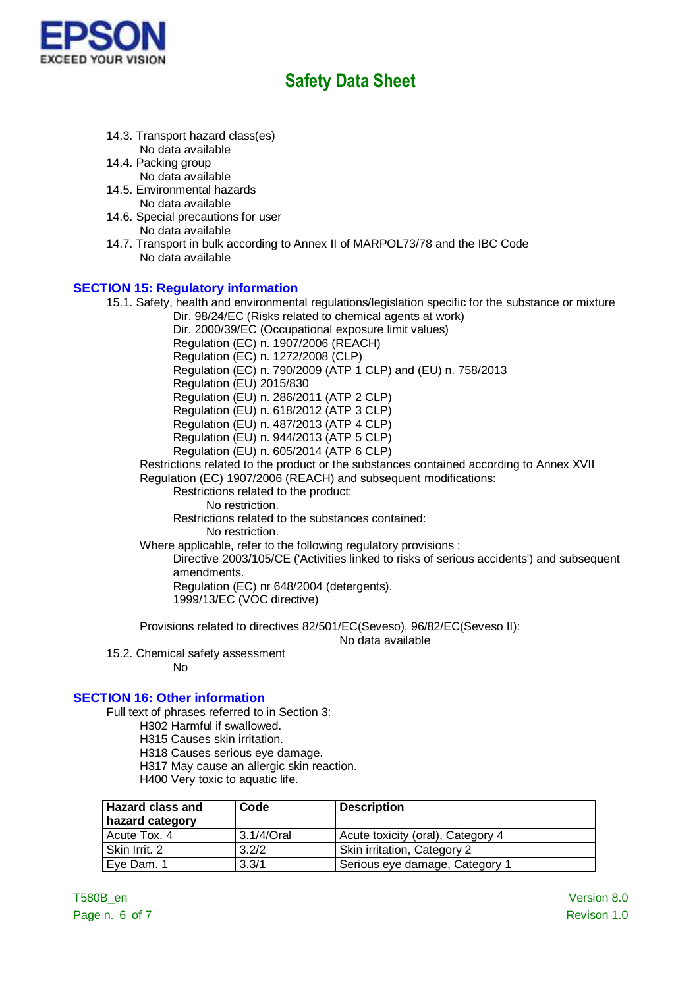

- 14.3. Transport hazard class(es) No data available
- 14.4. Packing group
- No data available 14.5. Environmental hazards
	- No data available
- 14.6. Special precautions for user No data available
- 14.7. Transport in bulk according to Annex II of MARPOL73/78 and the IBC Code No data available

# **SECTION 15: Regulatory information**

15.1. Safety, health and environmental regulations/legislation specific for the substance or mixture Dir. 98/24/EC (Risks related to chemical agents at work) Dir. 2000/39/EC (Occupational exposure limit values) Regulation (EC) n. 1907/2006 (REACH) Regulation (EC) n. 1272/2008 (CLP) Regulation (EC) n. 790/2009 (ATP 1 CLP) and (EU) n. 758/2013 Regulation (EU) 2015/830 Regulation (EU) n. 286/2011 (ATP 2 CLP) Regulation (EU) n. 618/2012 (ATP 3 CLP) Regulation (EU) n. 487/2013 (ATP 4 CLP) Regulation (EU) n. 944/2013 (ATP 5 CLP) Regulation (EU) n. 605/2014 (ATP 6 CLP) Restrictions related to the product or the substances contained according to Annex XVII Regulation (EC) 1907/2006 (REACH) and subsequent modifications: Restrictions related to the product: No restriction. Restrictions related to the substances contained: No restriction. Where applicable, refer to the following regulatory provisions : Directive 2003/105/CE ('Activities linked to risks of serious accidents') and subsequent amendments. Regulation (EC) nr 648/2004 (detergents). 1999/13/EC (VOC directive) Provisions related to directives 82/501/EC(Seveso), 96/82/EC(Seveso II):

No data available

15.2. Chemical safety assessment No

# **SECTION 16: Other information**

- Full text of phrases referred to in Section 3:
	- H302 Harmful if swallowed.
	- H315 Causes skin irritation.
	- H318 Causes serious eye damage.
	- H317 May cause an allergic skin reaction.
	- H400 Very toxic to aquatic life.

| <b>Hazard class and</b><br>hazard category | Code       | <b>Description</b>                |
|--------------------------------------------|------------|-----------------------------------|
| Acute Tox, 4                               | 3.1/4/Oral | Acute toxicity (oral), Category 4 |
| ⊦Skin Irrit. 2                             | 3.2/2      | Skin irritation, Category 2       |
| Eve Dam, 1                                 | 3.3/1      | Serious eye damage, Category 1    |